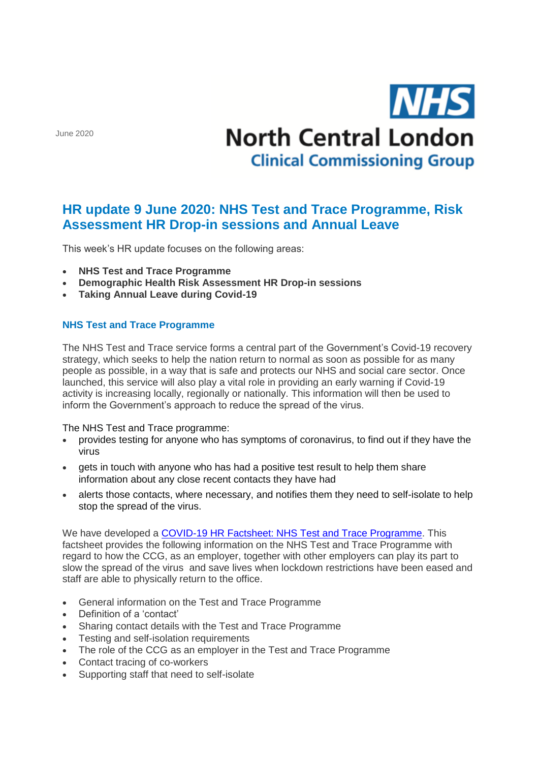June 2020

# **NHS North Central London Clinical Commissioning Group**

## **HR update 9 June 2020: NHS Test and Trace Programme, Risk Assessment HR Drop-in sessions and Annual Leave**

This week's HR update focuses on the following areas:

- **NHS Test and Trace Programme**
- **Demographic Health Risk Assessment HR Drop-in sessions**
- **Taking Annual Leave during Covid-19**

### **NHS Test and Trace Programme**

The NHS Test and Trace service forms a central part of the Government's Covid-19 recovery strategy, which seeks to help the nation return to normal as soon as possible for as many people as possible, in a way that is safe and protects our NHS and social care sector. Once launched, this service will also play a vital role in providing an early warning if Covid-19 activity is increasing locally, regionally or nationally. This information will then be used to inform the Government's approach to reduce the spread of the virus.

#### The NHS Test and Trace programme:

- provides testing for anyone who has symptoms of coronavirus, to find out if they have the virus
- gets in touch with anyone who has had a positive test result to help them share information about any close recent contacts they have had
- alerts those contacts, where necessary, and notifies them they need to self-isolate to help stop the spread of the virus.

We have developed a [COVID-19 HR Factsheet: NHS Test and Trace Programme.](http://camdenccg.newsweaver.com/briefing/hnahccspgp214ksjv241n0/external?email=true&a=6&p=5424366&t=356442) This factsheet provides the following information on the NHS Test and Trace Programme with regard to how the CCG, as an employer, together with other employers can play its part to slow the spread of the virus and save lives when lockdown restrictions have been eased and staff are able to physically return to the office.

- General information on the Test and Trace Programme
- Definition of a 'contact'
- Sharing contact details with the Test and Trace Programme
- Testing and self-isolation requirements
- The role of the CCG as an employer in the Test and Trace Programme
- Contact tracing of co-workers
- Supporting staff that need to self-isolate